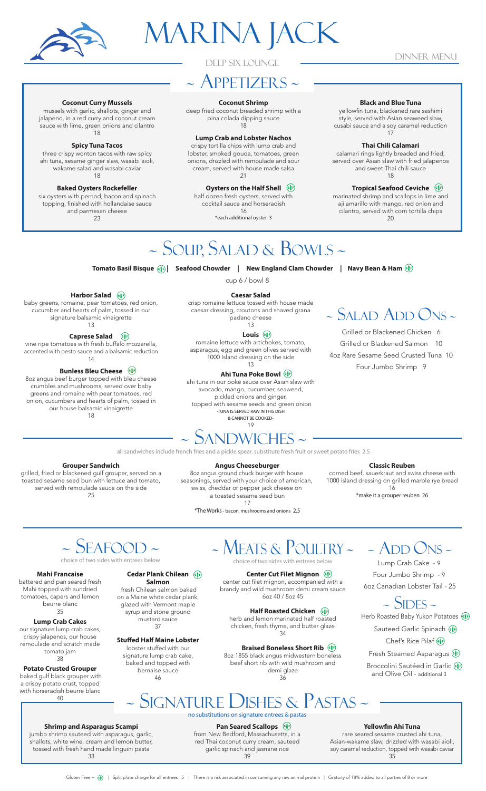

# MARINA JACK

## DINNER MENU

## DEEP SIX LOUNGE

## ~ APPETIZERS ~

### **Coconut Shrimp**

deep fried coconut breaded shrimp with a pina colada dipping sauce 18

## **Lump Crab and Lobster Nachos**

crispy tortilla chips with lump crab and lobster, smoked gouda, tomatoes, green onions, drizzled with remoulade and sour cream, served with house made salsa 21

## **Oysters on the Half Shell**

half dozen fresh oysters, served with cocktail sauce and horseradish 16 \*each additional oyster 3

## **Black and Blue Tuna**

yellowfin tuna, blackened rare sashimi style, served with Asian seaweed slaw, cusabi sauce and a soy caramel reduction 17

### **Thai Chili Calamari**

calamari rings lightly breaded and fried, served over Asian slaw with fried jalapenos and sweet Thai chili sauce 18

## Tropical Seafood Ceviche (

marinated shrimp and scallops in lime and aji amarillo with mango, red onion and cilantro, served with corn tortilla chips  $20$ 

## **Coconut Curry Mussels**

mussels with garlic, shallots, ginger and jalapeno, in a red curry and coconut cream sauce with lime, green onions and cilantro 18

### **Spicy Tuna Tacos**

three crispy wonton tacos with raw spicy ahi tuna, sesame ginger slaw, wasabi aioli, wakame salad and wasabi caviar 18

#### **Baked Oysters Rockefeller**

six oysters with pernod, bacon and spinach topping, finished with hollandaise sauce and parmesan cheese 23

Harbor Salad baby greens, romaine, pear tomatoes, red onion, cucumber and hearts of palm, tossed in our signature balsamic vinaigrette 13 **Caprese Salad** ( vine ripe tomatoes with fresh buffalo mozzarella, accented with pesto sauce and a balsamic reduction 14 **Bunless Bleu Cheese** ( 8oz angus beef burger topped with bleu cheese crumbles and mushrooms, served over baby greens and romaine with pear tomatoes, red onion, cucumbers and hearts of palm, tossed in our house balsamic vinaigrette 18

## ~ SOUP, SALAD & BOWLS ~

Tomato Basil Bisque《 》) Seafood Chowder | New England Clam Chowder | Navy Bean & Ham

cup 6 / bowl 8

### **Caesar Salad**

crisp romaine lettuce tossed with house made caesar dressing, croutons and shaved grana padano cheese 13

## Louis<sup>(</sup>

romaine lettuce with artichokes, tomato, asparagus, egg and green olives served with 1000 Island dressing on the side 13

## Ahi Tuna Poke Bowl (6)

ahi tuna in our poke sauce over Asian slaw with avocado, mango, cucumber, seaweed, pickled onions and ginger,

 topped with sesame seeds and green onion -TUNA IS SERVED RAW IN THIS DISH & CANNOT BE COOKED-

19

# $\sim$  SANDWICHES  $\sim$

all sandwiches include french fries and a pickle spear. substitute fresh fruit or sweet potato fries 2.5

### **Grouper Sandwich**

grilled, fried or blackened gulf grouper, served on a toasted sesame seed bun with lettuce and tomato, served with remoulade sauce on the side 25

**Angus Cheeseburger** 

8oz angus ground chuck burger with house seasonings, served with your choice of american, swiss, cheddar or pepper jack cheese on a toasted sesame seed bun 17

## <sup>~</sup> SALAD ADD ONS ~

Grilled or Blackened Chicken 6 Grilled or Blackened Salmon 10 4oz Rare Sesame Seed Crusted Tuna 10 Four Jumbo Shrimp 9

## **Classic Reuben**

corned beef, sauerkraut and swiss cheese with 1000 island dressing on grilled marble rye bread 16

\*make it a grouper reuben 26

## ~ SEAFOOD ~

#### **Mahi Francaise**

battered and pan seared fresh Mahi topped with sundried tomatoes, capers and lemon beurre blanc 35

## **Lump Crab Cakes**

our signature lump crab cakes, crispy jalapenos, our house remoulade and scratch made tomato jam 38

#### **Potato Crusted Grouper**  baked gulf black grouper with a crispy potato crust, topped with horseradish beurre blanc

#### 40

**Shrimp and Asparagus Scampi** jumbo shrimp sauteed with asparagus, garlic, shallots, white wine, cream and lemon butter, tossed with fresh hand made linguini pasta 33

**Salmon** 

on a Maine white cedar plank, glazed with Vermont maple syrup and stone ground mustard sauce 37

## **Stuffed Half Maine Lobster**

signature lump crab cake, baked and topped with bernaise sauce 46

## <sup>~</sup> MEATS & POULTRY ~ choice of two sides with entrees below

**Center Cut Filet Mignon** ( center cut filet mignon, accompanied with a

## brandy and wild mushroom demi cream sauce 6oz 40 / 8oz 45

**Half Roasted Chicken** herb and lemon marinated half roasted chicken, fresh thyme, and butter glaze

### 34 **Braised Boneless Short Rib** ( 8oz 1855 black angus midwestern boneless beef short rib with wild mushroom and demi glaze

36

 $\sim$  ADD ONS  $\sim$ Lump Crab Cake - 9 Four Jumbo Shrimp - 9 6oz Canadian Lobster Tail - 25

## $\sim$  SIDES  $\sim$

Herb Roasted Baby Yukon Potatoes (

Sauteed Garlic Spinach (1) Chef's Rice Pilaf (\$)

Fresh Steamed Asparagus (1)

Broccolini Sautéed in Garlic (\$) and Olive Oil - additional 3

no substitutions on signature entrees & pastas

~ SIGNATURE DISHES & PASTAS ~

## **Pan Seared Scallops**  $\circledast$

#### from New Bedford, Massachusetts, in a red Thai coconut curry cream, sauteed garlic spinach and jasmine rice 39

## Yellowfin Ahi Tuna

rare seared sesame crusted ahi tuna, Asian-wakame slaw, drizzled with wasabi aioli, soy caramel reduction, topped with wasabi caviar 35

\*The Works - bacon, mushrooms and onions 2.5

choice of two sides with entrees below

## **Cedar Plank Chilean** (

fresh Chilean salmon baked

lobster stuffed with our